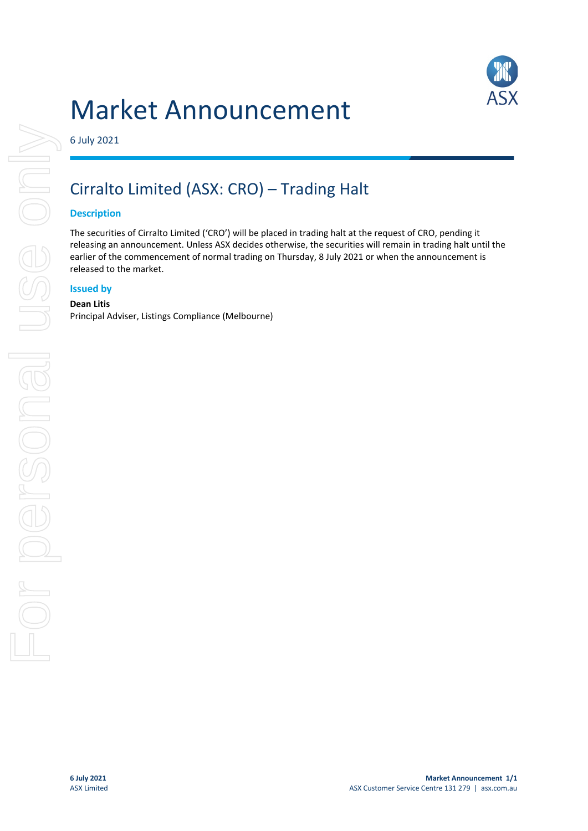

# Market Announcement

6 July 2021

# Cirralto Limited (ASX: CRO) – Trading Halt

## **Description**

The securities of Cirralto Limited ('CRO') will be placed in trading halt at the request of CRO, pending it releasing an announcement. Unless ASX decides otherwise, the securities will remain in trading halt until the earlier of the commencement of normal trading on Thursday, 8 July 2021 or when the announcement is released to the market.

#### **Issued by**

#### **Dean Litis**

Principal Adviser, Listings Compliance (Melbourne)